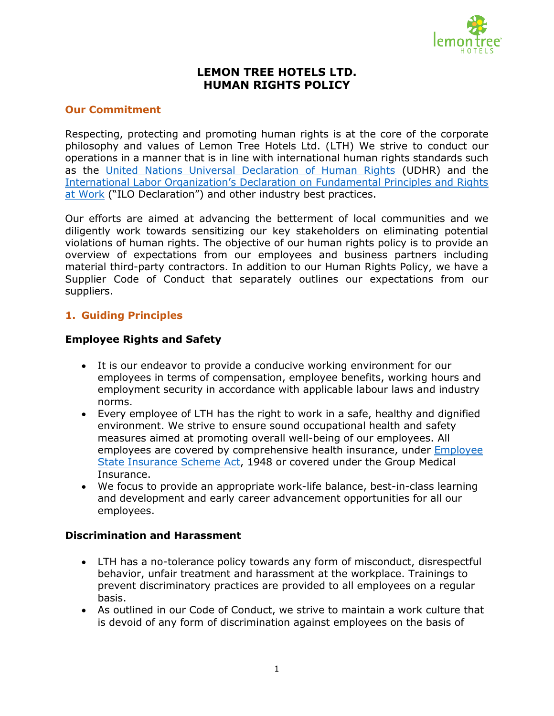

# **LEMON TREE HOTELS LTD. HUMAN RIGHTS POLICY**

## **Our Commitment**

Respecting, protecting and promoting human rights is at the core of the corporate philosophy and values of Lemon Tree Hotels Ltd. (LTH) We strive to conduct our operations in a manner that is in line with international human rights standards such as the [United Nations Universal Declaration of Human Rights](https://www.un.org/en/about-us/universal-declaration-of-human-rights) (UDHR) and the [International Labor Organization's Declaration on Fundamental Principles and Rights](https://www.ilo.org/declaration/lang--en/index.htm)  [at Work](https://www.ilo.org/declaration/lang--en/index.htm) ("ILO Declaration") and other industry best practices.

Our efforts are aimed at advancing the betterment of local communities and we diligently work towards sensitizing our key stakeholders on eliminating potential violations of human rights. The objective of our human rights policy is to provide an overview of expectations from our employees and business partners including material third-party contractors. In addition to our Human Rights Policy, we have a Supplier Code of Conduct that separately outlines our expectations from our suppliers.

## **1. Guiding Principles**

### **Employee Rights and Safety**

- It is our endeavor to provide a conducive working environment for our employees in terms of compensation, employee benefits, working hours and employment security in accordance with applicable labour laws and industry norms.
- Every employee of LTH has the right to work in a safe, healthy and dignified environment. We strive to ensure sound occupational health and safety measures aimed at promoting overall well-being of our employees. All employees are covered by comprehensive health insurance, under [Employee](https://www.esic.in/web/esic/esi-act)  [State Insurance Scheme Act,](https://www.esic.in/web/esic/esi-act) 1948 or covered under the Group Medical Insurance.
- We focus to provide an appropriate work-life balance, best-in-class learning and development and early career advancement opportunities for all our employees.

#### **Discrimination and Harassment**

- LTH has a no-tolerance policy towards any form of misconduct, disrespectful behavior, unfair treatment and harassment at the workplace. Trainings to prevent discriminatory practices are provided to all employees on a regular basis.
- As outlined in our Code of Conduct, we strive to maintain a work culture that is devoid of any form of discrimination against employees on the basis of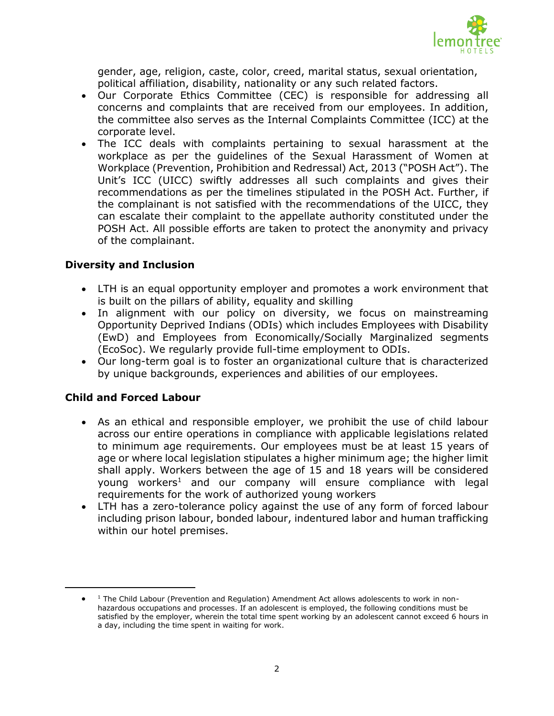

gender, age, religion, caste, color, creed, marital status, sexual orientation, political affiliation, disability, nationality or any such related factors.

- Our Corporate Ethics Committee (CEC) is responsible for addressing all concerns and complaints that are received from our employees. In addition, the committee also serves as the Internal Complaints Committee (ICC) at the corporate level.
- The ICC deals with complaints pertaining to sexual harassment at the workplace as per the guidelines of the Sexual Harassment of Women at Workplace (Prevention, Prohibition and Redressal) Act, 2013 ("POSH Act"). The Unit's ICC (UICC) swiftly addresses all such complaints and gives their recommendations as per the timelines stipulated in the POSH Act. Further, if the complainant is not satisfied with the recommendations of the UICC, they can escalate their complaint to the appellate authority constituted under the POSH Act. All possible efforts are taken to protect the anonymity and privacy of the complainant.

### **Diversity and Inclusion**

- LTH is an equal opportunity employer and promotes a work environment that is built on the pillars of ability, equality and skilling
- In alignment with our policy on diversity, we focus on mainstreaming Opportunity Deprived Indians (ODIs) which includes Employees with Disability (EwD) and Employees from Economically/Socially Marginalized segments (EcoSoc). We regularly provide full-time employment to ODIs.
- Our long-term goal is to foster an organizational culture that is characterized by unique backgrounds, experiences and abilities of our employees.

### **Child and Forced Labour**

 $\overline{a}$ 

- As an ethical and responsible employer, we prohibit the use of child labour across our entire operations in compliance with applicable legislations related to minimum age requirements. Our employees must be at least 15 years of age or where local legislation stipulates a higher minimum age; the higher limit shall apply. Workers between the age of 15 and 18 years will be considered young workers<sup>1</sup> and our company will ensure compliance with legal requirements for the work of authorized young workers
- LTH has a zero-tolerance policy against the use of any form of forced labour including prison labour, bonded labour, indentured labor and human trafficking within our hotel premises.

 $\bullet$  $1$  The Child Labour (Prevention and Regulation) Amendment Act allows adolescents to work in nonhazardous occupations and processes. If an adolescent is employed, the following conditions must be satisfied by the employer, wherein the total time spent working by an adolescent cannot exceed 6 hours in a day, including the time spent in waiting for work.